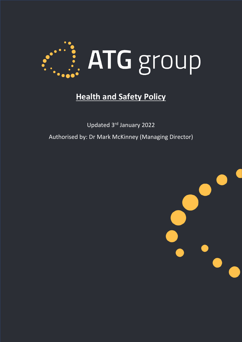

# **Health and Safety Policy**

Updated 3rd January 2022 Authorised by: Dr Mark McKinney (Managing Director)

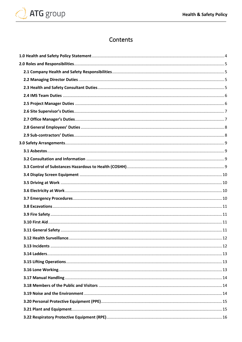

## Contents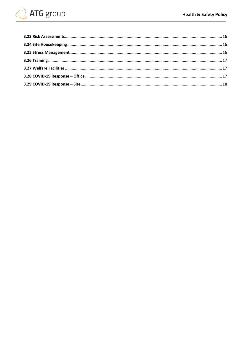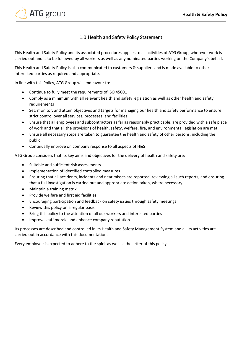

## 1.0 Health and Safety Policy Statement

<span id="page-3-0"></span>This Health and Safety Policy and its associated procedures applies to all activities of ATG Group, wherever work is carried out and is to be followed by all workers as well as any nominated parties working on the Company's behalf.

This Health and Safety Policy is also communicated to customers & suppliers and is made available to other interested parties as required and appropriate.

In line with this Policy, ATG Group will endeavour to:

- Continue to fully meet the requirements of ISO 45001
- Comply as a minimum with all relevant health and safety legislation as well as other health and safety requirements
- Set, monitor, and attain objectives and targets for managing our health and safety performance to ensure strict control over all services, processes, and facilities
- Ensure that all employees and subcontractors as far as reasonably practicable, are provided with a safe place of work and that all the provisions of health, safety, welfare, fire, and environmental legislation are met
- Ensure all necessary steps are taken to guarantee the health and safety of other persons, including the public
- Continually improve on company response to all aspects of H&S

ATG Group considers that its key aims and objectives for the delivery of health and safety are:

- Suitable and sufficient risk assessments
- Implementation of identified controlled measures
- Ensuring that all accidents, incidents and near misses are reported, reviewing all such reports, and ensuring that a full investigation is carried out and appropriate action taken, where necessary
- Maintain a training matrix
- Provide welfare and first aid facilities
- Encouraging participation and feedback on safety issues through safety meetings
- Review this policy on a regular basis
- Bring this policy to the attention of all our workers and interested parties
- Improve staff morale and enhance company reputation

Its processes are described and controlled in its Health and Safety Management System and all its activities are carried out in accordance with this documentation.

Every employee is expected to adhere to the spirit as well as the letter of this policy.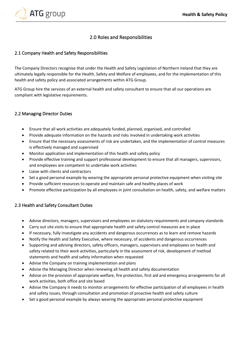

## 2.0 Roles and Responsibilities

### <span id="page-4-1"></span><span id="page-4-0"></span>2.1 Company Health and Safety Responsibilities

The Company Directors recognise that under the Health and Safety Legislation of Northern Ireland that they are ultimately legally responsible for the Health, Safety and Welfare of employees, and for the implementation of this health and safety policy and associated arrangements within ATG Group.

ATG Group hire the services of an external health and safety consultant to ensure that all our operations are compliant with legislative requirements.

#### <span id="page-4-2"></span>2.2 Managing Director Duties

- Ensure that all work activities are adequately funded, planned, organised, and controlled
- Provide adequate information on the hazards and risks involved in undertaking work activities
- Ensure that the necessary assessments of risk are undertaken, and the implementation of control measures is effectively managed and supervised
- Monitor application and implementation of this health and safety policy
- Provide effective training and support professional development to ensure that all managers, supervisors, and employees are competent to undertake work activities
- Liaise with clients and contractors
- Set a good personal example by wearing the appropriate personal protective equipment when visiting site
- Provide sufficient resources to operate and maintain safe and healthy places of work
- Promote effective participation by all employees in joint consultation on health, safety, and welfare matters

#### <span id="page-4-3"></span>2.3 Health and Safety Consultant Duties

- Advise directors, managers, supervisors and employees on statutory requirements and company standards
- Carry out site visits to ensure that appropriate health and safety control measures are in place
- If necessary, fully investigate any accidents and dangerous occurrences as to learn and remove hazards
- Notify the Health and Safety Executive, where necessary, of accidents and dangerous occurrences
- Supporting and advising directors, safety officers, managers, supervisors and employees on health and safety related to their work activities, particularly in the assessment of risk, development of method statements and health and safety information when requested
- Advise the Company on training implementation and plans
- Advise the Managing Director when renewing all health and safety documentation
- Advise on the provision of appropriate welfare, fire protection, first aid and emergency arrangements for all work activities, both office and site based
- Advise the Company it needs to monitor arrangements for effective participation of all employees in health and safety issues, through consultation and promotion of proactive health and safety culture
- Set a good personal example by always wearing the appropriate personal protective equipment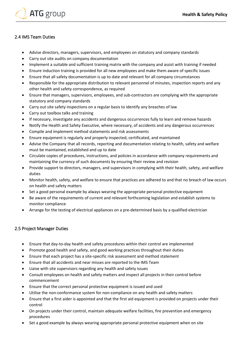

## <span id="page-5-0"></span>2.4 IMS Team Duties

- Advise directors, managers, supervisors, and employees on statutory and company standards
- Carry out site audits on company documentation
- Implement a suitable and sufficient training matrix with the company and assist with training if needed
- Ensure induction training is provided for all new employees and make them aware of specific issues
- Ensure that all safety documentation is up to date and relevant for all company circumstances
- Responsible for the appropriate distribution to relevant personnel of minutes, inspection reports and any other health and safety correspondence, as required
- Ensure that managers, supervisors, employees, and sub-contractors are complying with the appropriate statutory and company standards
- Carry out site safety inspections on a regular basis to identify any breaches of law
- Carry out toolbox talks and training
- If necessary, investigate any accidents and dangerous occurrences fully to learn and remove hazards
- Notify the Health and Safety Executive, where necessary, of accidents and any dangerous occurrences
- Compile and implement method statements and risk assessments
- Ensure equipment is regularly and properly inspected, certificated, and maintained
- Advise the Company that all records, reporting and documentation relating to health, safety and welfare must be maintained, established and up to date
- Circulate copies of procedures, instructions, and policies in accordance with company requirements and maintaining the currency of such documents by ensuring their review and revision
- Provide support to directors, managers, and supervisors in complying with their health, safety, and welfare duties
- Monitor health, safety, and welfare to ensure that practices are adhered to and that no breach of law occurs on health and safety matters
- Set a good personal example by always wearing the appropriate personal protective equipment
- Be aware of the requirements of current and relevant forthcoming legislation and establish systems to monitor compliance
- Arrange for the testing of electrical appliances on a pre-determined basis by a qualified electrician

## <span id="page-5-1"></span>2.5 Project Manager Duties

- Ensure that day-to-day health and safety procedures within their control are implemented
- Promote good health and safety, and good working practices throughout their duties
- Ensure that each project has a site-specific risk assessment and method statement
- Ensure that all accidents and near misses are reported to the IMS Team
- Liaise with site supervisors regarding any health and safety issues
- Consult employees on health and safety matters and inspect all projects in their control before commencement
- Ensure that the correct personal protective equipment is issued and used
- Utilise the non-conformance system for non-compliance on any health and safety matters
- Ensure that a first aider is appointed and that the first aid equipment is provided on projects under their control
- On projects under their control, maintain adequate welfare facilities, fire prevention and emergency procedures
- Set a good example by always wearing appropriate personal protective equipment when on site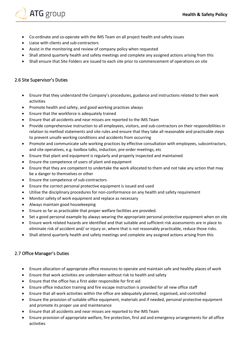

- Co-ordinate and co-operate with the IMS Team on all project health and safety issues
- Liaise with clients and sub-contractors
- Assist in the monitoring and review of company policy when requested
- Shall attend quarterly health and safety meetings and complete any assigned actions arising from this
- Shall ensure that Site Folders are issued to each site prior to commencement of operations on site

## <span id="page-6-0"></span>2.6 Site Supervisor's Duties

- Ensure that they understand the Company's procedures, guidance and instructions related to their work activities
- Promote health and safety, and good working practices always
- Ensure that the workforce is adequately trained
- Ensure that all accidents and near misses are reported to the IMS Team
- Provide comprehensive instruction to all employees, visitors, and sub-contractors on their responsibilities in relation to method statements and site rules and ensure that they take all reasonable and practicable steps to prevent unsafe working conditions and accidents from occurring
- Promote and communicate safe working practices by effective consultation with employees, subcontractors, and site operatives, e.g. toolbox talks, induction, pre-order meetings, etc
- Ensure that plant and equipment is regularly and properly inspected and maintained
- Ensure the competence of users of plant and equipment
- Ensure that they are competent to undertake the work allocated to them and not take any action that may be a danger to themselves or other
- Ensure the competence of sub-contractors
- Ensure the correct personal protective equipment is issued and used
- Utilise the disciplinary procedures for non-conformance on any health and safety requirement
- Monitor safety of work equipment and replace as necessary
- Always maintain good housekeeping
- Ensure as far as practicable that proper welfare facilities are provided.
- Set a good personal example by always wearing the appropriate personal protective equipment when on site
- Ensure work related hazards are identified and that suitable and sufficient risk assessments are in place to eliminate risk of accident and/ or injury or, where that is not reasonably practicable, reduce those risks.
- Shall attend quarterly health and safety meetings and complete any assigned actions arising from this

## <span id="page-6-1"></span>2.7 Office Manager's Duties

- Ensure allocation of appropriate office resources to operate and maintain safe and healthy places of work
- Ensure that work activities are undertaken without risk to health and safety
- Ensure that the office has a first aider responsible for first aid
- Ensure office induction training and fire escape instruction is provided for all new office staff
- Ensure that all work activities within the office are adequately planned, organised, and controlled
- Ensure the provision of suitable office equipment, materials and if needed, personal protective equipment and promote its proper use and maintenance
- Ensure that all accidents and near misses are reported to the IMS Team
- Ensure provision of appropriate welfare, fire protection, first aid and emergency arrangements for all office activities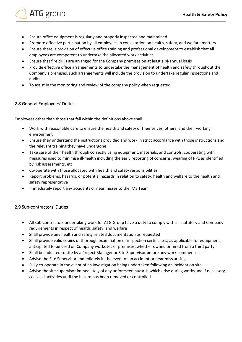- Ensure office equipment is regularly and properly inspected and maintained
- Promote effective participation by all employees in consultation on health, safety, and welfare matters
- Ensure there is provision of effective office training and professional development to establish that all employees are competent to undertake the allocated work activities
- Ensure that fire drills are arranged for the Company premises on at least a bi-annual basis
- Provide effective office arrangements to undertake the management of health and safety throughout the Company's premises, such arrangements will include the provision to undertake regular inspections and audits
- To assist in the monitoring and review of the company policy when requested

#### <span id="page-7-0"></span>2.8 General Employees' Duties

**ATG** group

Employees other than those that fall within the definitions above shall:

- Work with reasonable care to ensure the health and safety of themselves, others, and their working environment
- Ensure they understand the instructions provided and work in strict accordance with those instructions and the relevant training they have undergone
- Take care of their health through correctly using equipment, materials, and controls, cooperating with measures used to minimise ill-health including the early reporting of concerns, wearing of PPE as identified by risk assessments, etc
- Co-operate with those allocated with health and safety responsibilities
- Report problems, hazards, or potential hazards in relation to safety, health and welfare to the health and safety representative
- Immediately report any accidents or near misses to the IMS Team

#### <span id="page-7-1"></span>2.9 Sub-contractors' Duties

- All sub-contractors undertaking work for ATG Group have a duty to comply with all statutory and Company requirements in respect of health, safety, and welfare
- Shall provide any health and safety related documentation as requested
- Shall provide valid copies of thorough examination or inspection certificates, as applicable for equipment anticipated to be used on Company worksites or premises, whether owned or hired from a third party
- Shall be inducted to site by a Project Manager or Site Supervisor before any work commences
- Advise the Site Supervisor immediately in the event of an accident or near miss arising
- Fully co-operate in the event of an investigation being undertaken following an incident on site
- Advise the site supervisor immediately of any unforeseen hazards which arise during works and if necessary, cease all activities until the hazard has been removed or controlled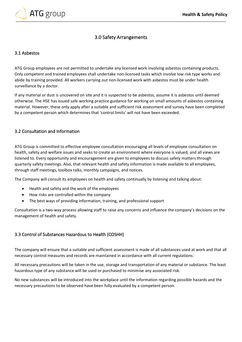

## 3.0 Safety Arrangements

#### <span id="page-8-1"></span><span id="page-8-0"></span>3.1 Asbestos

ATG Group employees are not permitted to undertake any licensed work involving asbestos containing products. Only competent and trained employees shall undertake non-licensed tasks which involve low risk type works and abide by training provided. All workers carrying out non-licensed work with asbestos must be under health surveillance by a doctor.

If any material or dust is uncovered on site and it is suspected to be asbestos, assume it is asbestos until deemed otherwise. The HSE has issued safe working practice guidance for working on small amounts of asbestos containing material. However, these only apply after a suitable and sufficient risk assessment and survey have been completed by a competent person which determines that 'control limits' will not have been exceeded.

#### <span id="page-8-2"></span>3.2 Consultation and Information

ATG Group is committed to effective employee consultation encouraging all levels of employee consultation on health, safety and welfare issues and seeks to create an environment where everyone is valued, and all views are listened to. Every opportunity and encouragement are given to employees to discuss safety matters through quarterly safety meetings. Also, that relevant health and safety information is made available to all employees, through staff meetings, toolbox talks, monthly campaigns, and notices.

The Company will consult its employees on health and safety continually by listening and talking about:

- Health and safety and the work of the employees
- How risks are controlled within the company
- The best ways of providing information, training, and professional support

Consultation is a two-way process allowing staff to raise any concerns and influence the company's decisions on the management of health and safety.

## <span id="page-8-3"></span>3.3 Control of Substances Hazardous to Health (COSHH)

The company will ensure that a suitable and sufficient assessment is made of all substances used at work and that all necessary control measures and records are maintained in accordance with all current regulations.

All necessary precautions will be taken in the use, storage and transportation of any material or substance. The least hazardous type of any substance will be used or purchased to minimise any associated risk.

No new substances will be introduced into the workplace until the information regarding possible hazards and the necessary precautions to be observed have been fully evaluated by a competent person.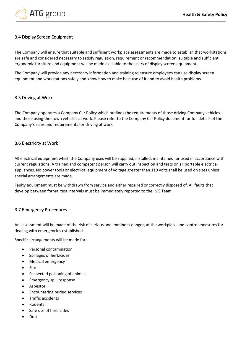

## <span id="page-9-0"></span>3.4 Display Screen Equipment

The Company will ensure that suitable and sufficient workplace assessments are made to establish that workstations are safe and considered necessary to satisfy regulation, requirement or recommendation, suitable and sufficient ergonomic furniture and equipment will be made available to the users of display screen equipment.

The Company will provide any necessary information and training to ensure employees can use display screen equipment and workstations safely and know how to make best use of it and to avoid health problems.

## <span id="page-9-1"></span>3.5 Driving at Work

The Company operates a Company Car Policy which outlines the requirements of those driving Company vehicles and those using their own vehicles at work. Please refer to the Company Car Policy document for full details of the Company's rules and requirements for driving at work

#### <span id="page-9-2"></span>3.6 Electricity at Work

All electrical equipment which the Company uses will be supplied, installed, maintained, or used in accordance with current regulations. A trained and competent person will carry out inspection and tests on all portable electrical appliances. No power tools or electrical equipment of voltage greater than 110 volts shall be used on sites unless special arrangements are made.

Faulty equipment must be withdrawn from service and either repaired or correctly disposed of. All faults that develop between formal test intervals must be immediately reported to the IMS Team.

## <span id="page-9-3"></span>3.7 Emergency Procedures

An assessment will be made of the risk of serious and imminent danger, at the workplace and control measures for dealing with emergencies established.

Specific arrangements will be made for:

- Personal contamination
- Spillages of herbicides
- Medical emergency
- Fire
- Suspected poisoning of animals
- Emergency spill response
- **Asbestos**
- Encountering buried services
- Traffic accidents
- Rodents
- Safe use of herbicides
- Dust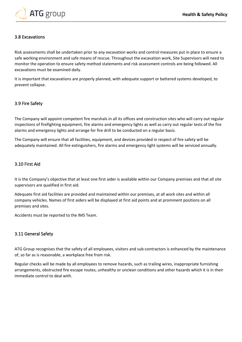

#### <span id="page-10-0"></span>3.8 Excavations

Risk assessments shall be undertaken prior to any excavation works and control measures put in place to ensure a safe working environment and safe means of rescue. Throughout the excavation work, Site Supervisors will need to monitor the operation to ensure safety method statements and risk assessment controls are being followed. All excavations must be examined daily.

It is important that excavations are properly planned, with adequate support or battered systems developed, to prevent collapse.

#### <span id="page-10-1"></span>3.9 Fire Safety

The Company will appoint competent fire marshals in all its offices and construction sites who will carry out regular inspections of firefighting equipment, fire alarms and emergency lights as well as carry out regular tests of the fire alarms and emergency lights and arrange for fire drill to be conducted on a regular basis.

The Company will ensure that all facilities, equipment, and devices provided in respect of fire safety will be adequately maintained. All fire extinguishers, fire alarms and emergency light systems will be serviced annually.

#### <span id="page-10-2"></span>3.10 First Aid

It is the Company's objective that at least one first aider is available within our Company premises and that all site supervisors are qualified in first aid.

Adequate first aid facilities are provided and maintained within our premises, at all work sites and within all company vehicles. Names of first aiders will be displayed at first aid points and at prominent positions on all premises and sites.

Accidents must be reported to the IMS Team.

#### <span id="page-10-3"></span>3.11 General Safety

ATG Group recognises that the safety of all employees, visitors and sub-contractors is enhanced by the maintenance of, so far as is reasonable, a workplace free from risk.

Regular checks will be made by all employees to remove hazards, such as trailing wires, inappropriate furnishing arrangements, obstructed fire escape routes, unhealthy or unclean conditions and other hazards which it is in their immediate control to deal with.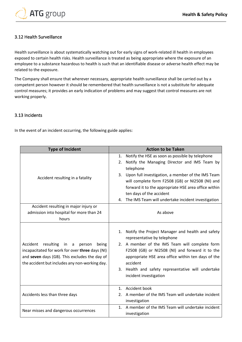

## <span id="page-11-0"></span>3.12 Health Surveillance

Health surveillance is about systematically watching out for early signs of work-related ill health in employees exposed to certain health risks. Health surveillance is treated as being appropriate where the exposure of an employee to a substance hazardous to health is such that an identifiable disease or adverse health effect may be related to the exposure.

The Company shall ensure that wherever necessary, appropriate health surveillance shall be carried out by a competent person however it should be remembered that health surveillance is not a substitute for adequate control measures; it provides an early indication of problems and may suggest that control measures are not working properly.

#### <span id="page-11-1"></span>3.13 Incidents

In the event of an incident occurring, the following guide applies:

| <b>Type of Incident</b>                                                                                                                                                                             | <b>Action to be Taken</b>                                                                                                                                                                                                                                                                                                                                                            |  |
|-----------------------------------------------------------------------------------------------------------------------------------------------------------------------------------------------------|--------------------------------------------------------------------------------------------------------------------------------------------------------------------------------------------------------------------------------------------------------------------------------------------------------------------------------------------------------------------------------------|--|
| Accident resulting in a fatality                                                                                                                                                                    | Notify the HSE as soon as possible by telephone<br>1.<br>Notify the Managing Director and IMS Team by<br>2.<br>telephone<br>3. Upon full investigation, a member of the IMS Team<br>will complete form F2508 (GB) or NI2508 (NI) and<br>forward it to the appropriate HSE area office within<br>ten days of the accident<br>The IMS Team will undertake incident investigation<br>4. |  |
| Accident resulting in major injury or<br>admission into hospital for more than 24<br>hours                                                                                                          | As above                                                                                                                                                                                                                                                                                                                                                                             |  |
| Accident resulting<br>in a<br>person<br>being<br>incapacitated for work for over three days (NI)<br>and seven days (GB). This excludes the day of<br>the accident but includes any non-working day. | 1. Notify the Project Manager and health and safety<br>representative by telephone<br>2. A member of the IMS Team will complete form<br>F2508 (GB) or NI2508 (NI) and forward it to the<br>appropriate HSE area office within ten days of the<br>accident<br>3. Health and safety representative will undertake<br>incident investigation                                            |  |
| Accidents less than three days                                                                                                                                                                      | 1. Accident book<br>A member of the IMS Team will undertake incident<br>2.<br>investigation                                                                                                                                                                                                                                                                                          |  |
| Near misses and dangerous occurrences                                                                                                                                                               | 1. A member of the IMS Team will undertake incident<br>investigation                                                                                                                                                                                                                                                                                                                 |  |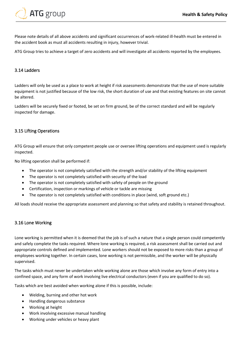

Please note details of all above accidents and significant occurrences of work-related ill-health must be entered in the accident book as must all accidents resulting in injury, however trivial.

ATG Group tries to achieve a target of zero accidents and will investigate all accidents reported by the employees.

#### <span id="page-12-0"></span>3.14 Ladders

Ladders will only be used as a place to work at height if risk assessments demonstrate that the use of more suitable equipment is not justified because of the low risk, the short duration of use and that existing features on site cannot be altered.

Ladders will be securely fixed or footed, be set on firm ground, be of the correct standard and will be regularly inspected for damage.

#### <span id="page-12-1"></span>3.15 Lifting Operations

ATG Group will ensure that only competent people use or oversee lifting operations and equipment used is regularly inspected.

No lifting operation shall be performed if:

- The operator is not completely satisfied with the strength and/or stability of the lifting equipment
- The operator is not completely satisfied with security of the load
- The operator is not completely satisfied with safety of people on the ground
- Certification, inspection or markings of vehicle or tackle are missing
- The operator is not completely satisfied with conditions in place (wind, soft ground etc.)

All loads should receive the appropriate assessment and planning so that safety and stability is retained throughout.

#### <span id="page-12-2"></span>3.16 Lone Working

Lone working is permitted when it is deemed that the job is of such a nature that a single person could competently and safely complete the tasks required. Where lone working is required, a risk assessment shall be carried out and appropriate controls defined and implemented. Lone workers should not be exposed to more risks than a group of employees working together. In certain cases, lone working is not permissible, and the worker will be physically supervised.

The tasks which must never be undertaken while working alone are those which involve any form of entry into a confined space, and any form of work involving live electrical conductors (even if you are qualified to do so).

Tasks which are best avoided when working alone if this is possible, include:

- Welding, burning and other hot work
- Handling dangerous substance
- Working at height
- Work involving excessive manual handling
- Working under vehicles or heavy plant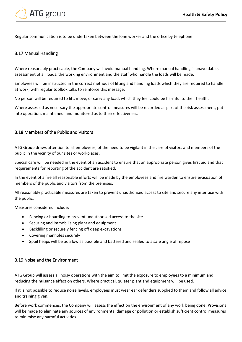

Regular communication is to be undertaken between the lone worker and the office by telephone.

## <span id="page-13-0"></span>3.17 Manual Handling

Where reasonably practicable, the Company will avoid manual handling. Where manual handling is unavoidable, assessment of all loads, the working environment and the staff who handle the loads will be made.

Employees will be instructed in the correct methods of lifting and handling loads which they are required to handle at work, with regular toolbox talks to reinforce this message.

No person will be required to lift, move, or carry any load, which they feel could be harmful to their health.

Where assessed as necessary the appropriate control measures will be recorded as part of the risk assessment, put into operation, maintained, and monitored as to their effectiveness.

## <span id="page-13-1"></span>3.18 Members of the Public and Visitors

ATG Group draws attention to all employees, of the need to be vigilant in the care of visitors and members of the public in the vicinity of our sites or workplaces.

Special care will be needed in the event of an accident to ensure that an appropriate person gives first aid and that requirements for reporting of the accident are satisfied.

In the event of a fire all reasonable efforts will be made by the employees and fire warden to ensure evacuation of members of the public and visitors from the premises.

All reasonably practicable measures are taken to prevent unauthorised access to site and secure any interface with the public.

Measures considered include:

- Fencing or hoarding to prevent unauthorised access to the site
- Securing and immobilising plant and equipment
- Backfilling or securely fencing off deep excavations
- Covering manholes securely
- Spoil heaps will be as a low as possible and battered and sealed to a safe angle of repose

#### <span id="page-13-2"></span>3.19 Noise and the Environment

ATG Group will assess all noisy operations with the aim to limit the exposure to employees to a minimum and reducing the nuisance effect on others. Where practical, quieter plant and equipment will be used.

If it is not possible to reduce noise levels, employees must wear ear defenders supplied to them and follow all advice and training given.

Before work commences, the Company will assess the effect on the environment of any work being done. Provisions will be made to eliminate any sources of environmental damage or pollution or establish sufficient control measures to minimise any harmful activities.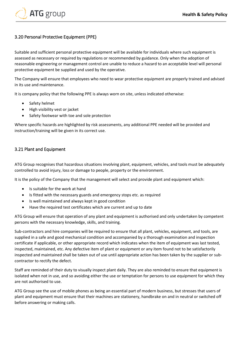

## <span id="page-14-0"></span>3.20 Personal Protective Equipment (PPE)

Suitable and sufficient personal protective equipment will be available for individuals where such equipment is assessed as necessary or required by regulations or recommended by guidance. Only when the adoption of reasonable engineering or management control are unable to reduce a hazard to an acceptable level will personal protective equipment be supplied and used by the operative.

The Company will ensure that employees who need to wear protective equipment are properly trained and advised in its use and maintenance.

It is company policy that the following PPE is always worn on site, unless indicated otherwise:

- Safety helmet
- High visibility vest or jacket
- Safety footwear with toe and sole protection

Where specific hazards are highlighted by risk assessments, any additional PPE needed will be provided and instruction/training will be given in its correct use.

#### <span id="page-14-1"></span>3.21 Plant and Equipment

ATG Group recognises that hazardous situations involving plant, equipment, vehicles, and tools must be adequately controlled to avoid injury, loss or damage to people, property or the environment.

It is the policy of the Company that the management will select and provide plant and equipment which:

- Is suitable for the work at hand
- Is fitted with the necessary guards and emergency stops etc. as required
- Is well maintained and always kept in good condition
- Have the required test certificates which are current and up to date

ATG Group will ensure that operation of any plant and equipment is authorised and only undertaken by competent persons with the necessary knowledge, skills, and training.

Sub-contractors and hire companies will be required to ensure that all plant, vehicles, equipment, and tools, are supplied in a safe and good mechanical condition and accompanied by a thorough examination and inspection certificate if applicable, or other appropriate record which indicates when the item of equipment was last tested, inspected, maintained, etc. Any defective item of plant or equipment or any item found not to be satisfactorily inspected and maintained shall be taken out of use until appropriate action has been taken by the supplier or subcontractor to rectify the defect.

Staff are reminded of their duty to visually inspect plant daily. They are also reminded to ensure that equipment is isolated when not in use, and so avoiding either the use or temptation for persons to use equipment for which they are not authorised to use.

ATG Group see the use of mobile phones as being an essential part of modern business, but stresses that users of plant and equipment must ensure that their machines are stationery, handbrake on and in neutral or switched off before answering or making calls.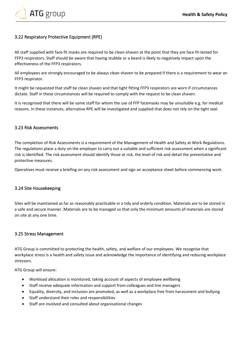

## <span id="page-15-0"></span>3.22 Respiratory Protective Equipment (RPE)

All staff supplied with face fit masks are required to be clean-shaven at the point that they are face fit-tested for FFP3 respirators. Staff should be aware that having stubble or a beard is likely to negatively impact upon the effectiveness of the FFP3 respirators.

All employees are strongly encouraged to be always clean shaven to be prepared if there is a requirement to wear an FFP3 respirator.

It might be requested that staff be clean shaven and that tight fitting FFP3 respirators are worn if circumstances dictate. Staff in these circumstances will be required to comply with the request to be clean shaven.

It is recognised that there will be some staff for whom the use of FFP facemasks may be unsuitable e.g. for medical reasons. In these instances, alternative RPE will be investigated and supplied that does not rely on the tight seal.

#### <span id="page-15-1"></span>3.23 Risk Assessments

The completion of Risk Assessments is a requirement of the Management of Health and Safety at Work Regulations. The regulations place a duty on the employer to carry out a suitable and sufficient risk assessment when a significant risk is identified. The risk assessment should identify those at risk, the level of risk and detail the preventative and protective measures.

Operatives must receive a briefing on any risk assessment and sign an acceptance sheet before commencing work.

#### <span id="page-15-2"></span>3.24 Site Housekeeping

Sites will be maintained as far as reasonably practicable in a tidy and orderly condition. Materials are to be stored in a safe and secure manner. Materials are to be managed so that only the minimum amounts of materials are stored on site at any one time.

#### <span id="page-15-3"></span>3.25 Stress Management

ATG Group is committed to protecting the health, safety, and welfare of our employees. We recognise that workplace stress is a health and safety issue and acknowledge the importance of identifying and reducing workplace stressors.

ATG Group will ensure:

- Workload allocation is monitored, taking account of aspects of employee wellbeing
- Staff receive adequate information and support from colleagues and line managers
- Equality, diversity, and inclusion are promoted, as well as a workplace free from harassment and bullying
- Staff understand their roles and responsibilities
- Staff are involved and consulted about organisational changes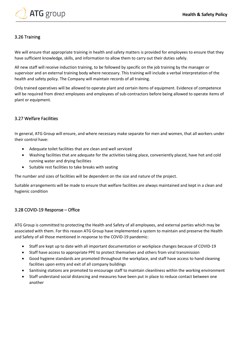

## <span id="page-16-0"></span>3.26 Training

We will ensure that appropriate training in health and safety matters is provided for employees to ensure that they have sufficient knowledge, skills, and information to allow them to carry out their duties safely.

All new staff will receive induction training, to be followed by specific on the job training by the manager or supervisor and an external training body where necessary. This training will include a verbal interpretation of the health and safety policy. The Company will maintain records of all training.

Only trained operatives will be allowed to operate plant and certain items of equipment. Evidence of competence will be required from direct employees and employees of sub-contractors before being allowed to operate items of plant or equipment.

#### <span id="page-16-1"></span>3.27 Welfare Facilities

In general, ATG Group will ensure, and where necessary make separate for men and women, that all workers under their control have:

- Adequate toilet facilities that are clean and well serviced
- Washing facilities that are adequate for the activities taking place, conveniently placed, have hot and cold running water and drying facilities
- Suitable rest facilities to take breaks with seating

The number and sizes of facilities will be dependent on the size and nature of the project.

Suitable arrangements will be made to ensure that welfare facilities are always maintained and kept in a clean and hygienic condition

## <span id="page-16-2"></span>3.28 COVID-19 Response – Office

ATG Group is committed to protecting the Health and Safety of all employees, and external parties which may be associated with them. For this reason ATG Group have implemented a system to maintain and preserve the Health and Safety of all those mentioned in response to the COVID-19 pandemic:

- Staff are kept up to date with all important documentation or workplace changes because of COVID-19
- Staff have access to appropriate PPE to protect themselves and others from viral transmission
- Good hygiene standards are promoted throughout the workplace, and staff have access to hand cleaning facilities upon entry and exit of all company buildings
- Sanitising stations are promoted to encourage staff to maintain cleanliness within the working environment
- Staff understand social distancing and measures have been put in place to reduce contact between one another